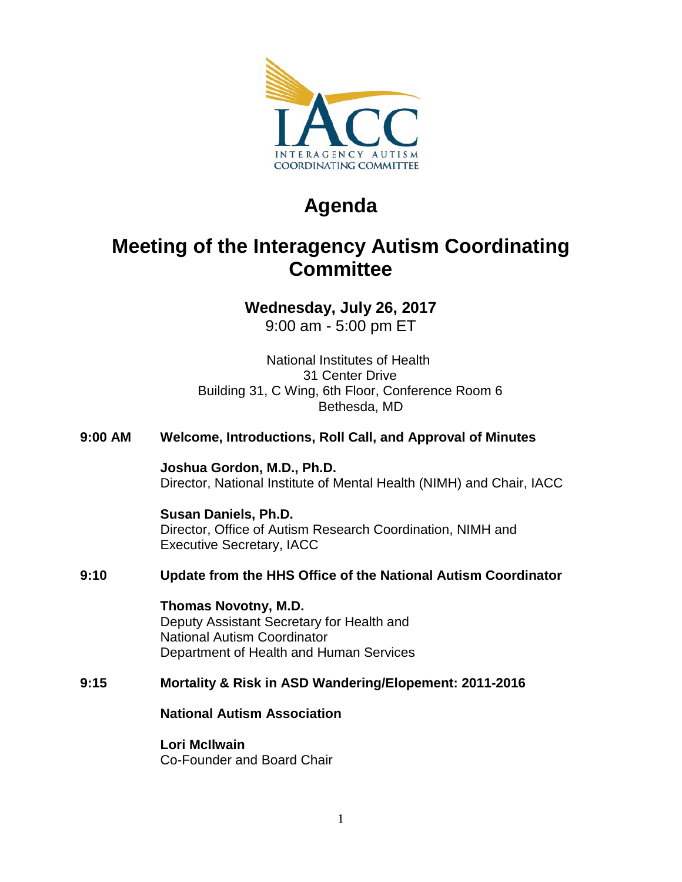

# **Agenda**

## **Meeting of the Interagency Autism Coordinating Committee**

## **Wednesday, July 26, 2017**

9:00 am - 5:00 pm ET

National Institutes of Health 31 Center Drive Building 31, C Wing, 6th Floor, Conference Room 6 Bethesda, MD

## **9:00 AM Welcome, Introductions, Roll Call, and Approval of Minutes**

**Joshua Gordon, M.D., Ph.D.** Director, National Institute of Mental Health (NIMH) and Chair, IACC

**Susan Daniels, Ph.D.** Director, Office of Autism Research Coordination, NIMH and Executive Secretary, IACC

## **9:10 Update from the HHS Office of the National Autism Coordinator**

**Thomas Novotny, M.D.** Deputy Assistant Secretary for Health and National Autism Coordinator Department of Health and Human Services

## **9:15 Mortality & Risk in ASD Wandering/Elopement: 2011-2016**

**National Autism Association**

**Lori McIlwain**

Co-Founder and Board Chair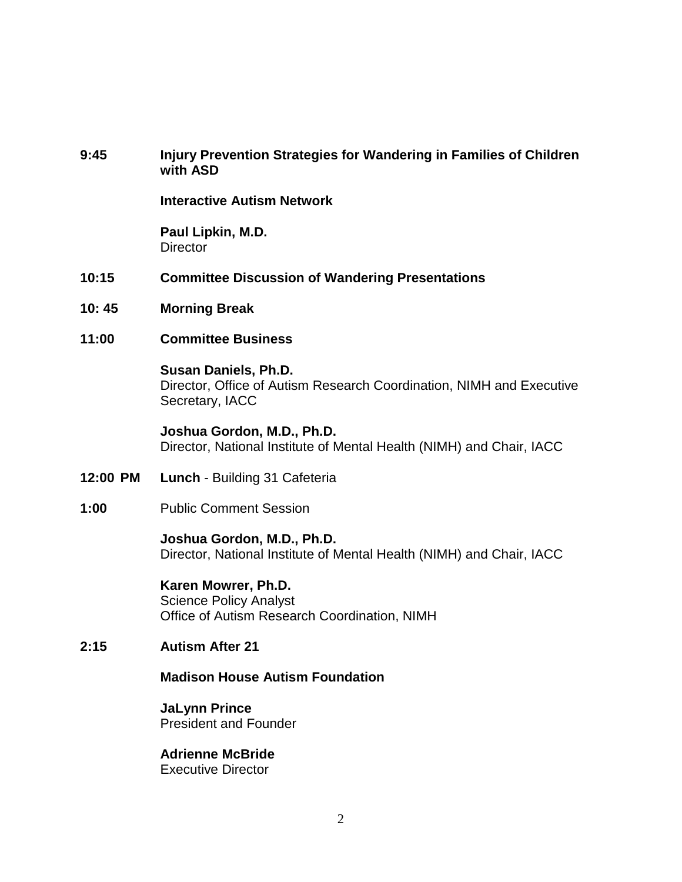#### **9:45 Injury Prevention Strategies for Wandering in Families of Children with ASD**

**Interactive Autism Network**

**Paul Lipkin, M.D. Director** 

- **10:15 Committee Discussion of Wandering Presentations**
- **10: 45 Morning Break**
- **11:00 Committee Business**

#### **Susan Daniels, Ph.D.**

Director, Office of Autism Research Coordination, NIMH and Executive Secretary, IACC

**Joshua Gordon, M.D., Ph.D.** Director, National Institute of Mental Health (NIMH) and Chair, IACC

- **12:00 PM Lunch** Building 31 Cafeteria
- **1:00** Public Comment Session

#### **Joshua Gordon, M.D., Ph.D.**

Director, National Institute of Mental Health (NIMH) and Chair, IACC

**Karen Mowrer, Ph.D.** Science Policy Analyst

Office of Autism Research Coordination, NIMH

#### **2:15 Autism After 21**

**Madison House Autism Foundation**

**JaLynn Prince** President and Founder

## **Adrienne McBride**

Executive Director